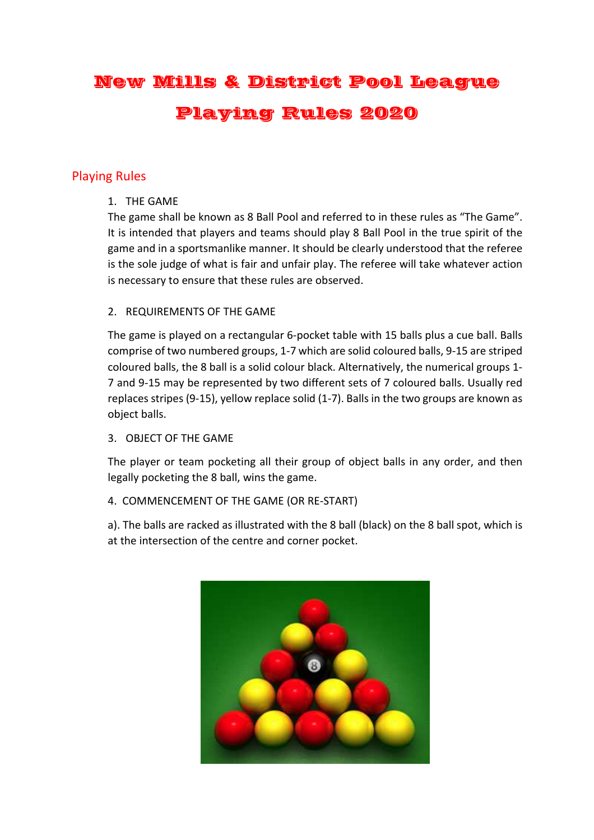# New Mills & District Pool League Playing Rules 2020

# Playing Rules

1. THE GAME

The game shall be known as 8 Ball Pool and referred to in these rules as "The Game". It is intended that players and teams should play 8 Ball Pool in the true spirit of the game and in a sportsmanlike manner. It should be clearly understood that the referee is the sole judge of what is fair and unfair play. The referee will take whatever action is necessary to ensure that these rules are observed.

## 2. REQUIREMENTS OF THE GAME

The game is played on a rectangular 6-pocket table with 15 balls plus a cue ball. Balls comprise of two numbered groups, 1-7 which are solid coloured balls, 9-15 are striped coloured balls, the 8 ball is a solid colour black. Alternatively, the numerical groups 1- 7 and 9-15 may be represented by two different sets of 7 coloured balls. Usually red replaces stripes (9-15), yellow replace solid (1-7). Balls in the two groups are known as object balls.

3. OBJECT OF THE GAME

The player or team pocketing all their group of object balls in any order, and then legally pocketing the 8 ball, wins the game.

# 4. COMMENCEMENT OF THE GAME (OR RE-START)

a). The balls are racked as illustrated with the 8 ball (black) on the 8 ball spot, which is at the intersection of the centre and corner pocket.

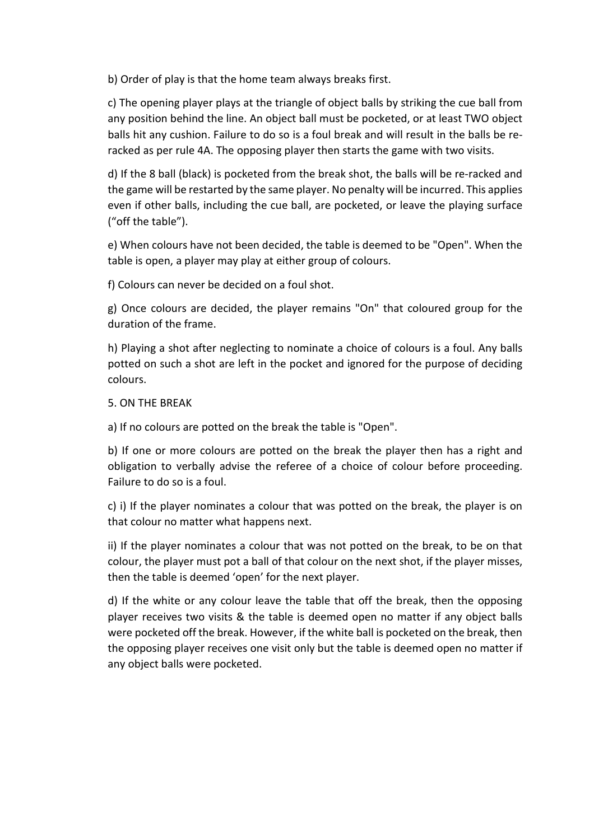b) Order of play is that the home team always breaks first.

c) The opening player plays at the triangle of object balls by striking the cue ball from any position behind the line. An object ball must be pocketed, or at least TWO object balls hit any cushion. Failure to do so is a foul break and will result in the balls be reracked as per rule 4A. The opposing player then starts the game with two visits.

d) If the 8 ball (black) is pocketed from the break shot, the balls will be re-racked and the game will be restarted by the same player. No penalty will be incurred. This applies even if other balls, including the cue ball, are pocketed, or leave the playing surface ("off the table").

e) When colours have not been decided, the table is deemed to be "Open". When the table is open, a player may play at either group of colours.

f) Colours can never be decided on a foul shot.

g) Once colours are decided, the player remains "On" that coloured group for the duration of the frame.

h) Playing a shot after neglecting to nominate a choice of colours is a foul. Any balls potted on such a shot are left in the pocket and ignored for the purpose of deciding colours.

5. ON THE BREAK

a) If no colours are potted on the break the table is "Open".

b) If one or more colours are potted on the break the player then has a right and obligation to verbally advise the referee of a choice of colour before proceeding. Failure to do so is a foul.

c) i) If the player nominates a colour that was potted on the break, the player is on that colour no matter what happens next.

ii) If the player nominates a colour that was not potted on the break, to be on that colour, the player must pot a ball of that colour on the next shot, if the player misses, then the table is deemed 'open' for the next player.

d) If the white or any colour leave the table that off the break, then the opposing player receives two visits & the table is deemed open no matter if any object balls were pocketed off the break. However, if the white ball is pocketed on the break, then the opposing player receives one visit only but the table is deemed open no matter if any object balls were pocketed.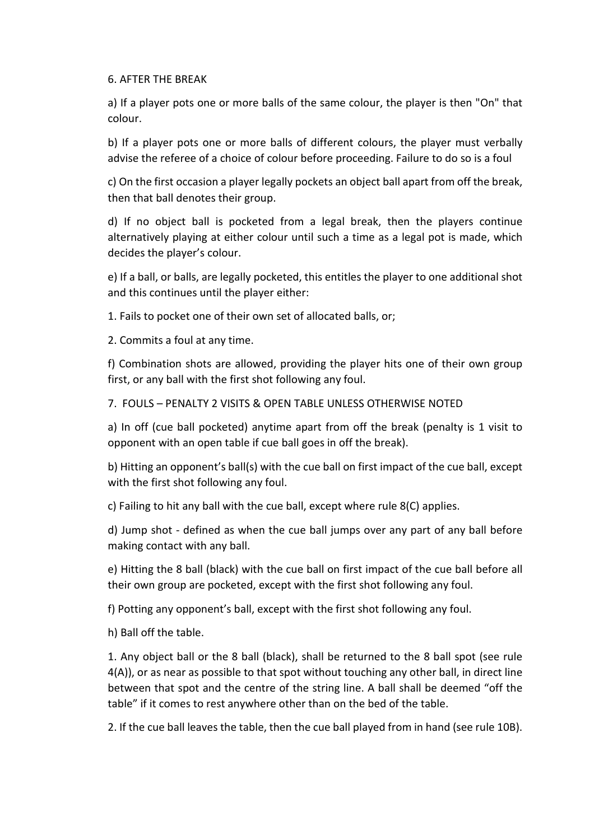#### 6. AFTER THE BREAK

a) If a player pots one or more balls of the same colour, the player is then "On" that colour.

b) If a player pots one or more balls of different colours, the player must verbally advise the referee of a choice of colour before proceeding. Failure to do so is a foul

c) On the first occasion a player legally pockets an object ball apart from off the break, then that ball denotes their group.

d) If no object ball is pocketed from a legal break, then the players continue alternatively playing at either colour until such a time as a legal pot is made, which decides the player's colour.

e) If a ball, or balls, are legally pocketed, this entitles the player to one additional shot and this continues until the player either:

1. Fails to pocket one of their own set of allocated balls, or;

2. Commits a foul at any time.

f) Combination shots are allowed, providing the player hits one of their own group first, or any ball with the first shot following any foul.

7. FOULS – PENALTY 2 VISITS & OPEN TABLE UNLESS OTHERWISE NOTED

a) In off (cue ball pocketed) anytime apart from off the break (penalty is 1 visit to opponent with an open table if cue ball goes in off the break).

b) Hitting an opponent's ball(s) with the cue ball on first impact of the cue ball, except with the first shot following any foul.

c) Failing to hit any ball with the cue ball, except where rule 8(C) applies.

d) Jump shot - defined as when the cue ball jumps over any part of any ball before making contact with any ball.

e) Hitting the 8 ball (black) with the cue ball on first impact of the cue ball before all their own group are pocketed, except with the first shot following any foul.

f) Potting any opponent's ball, except with the first shot following any foul.

h) Ball off the table.

1. Any object ball or the 8 ball (black), shall be returned to the 8 ball spot (see rule 4(A)), or as near as possible to that spot without touching any other ball, in direct line between that spot and the centre of the string line. A ball shall be deemed "off the table" if it comes to rest anywhere other than on the bed of the table.

2. If the cue ball leaves the table, then the cue ball played from in hand (see rule 10B).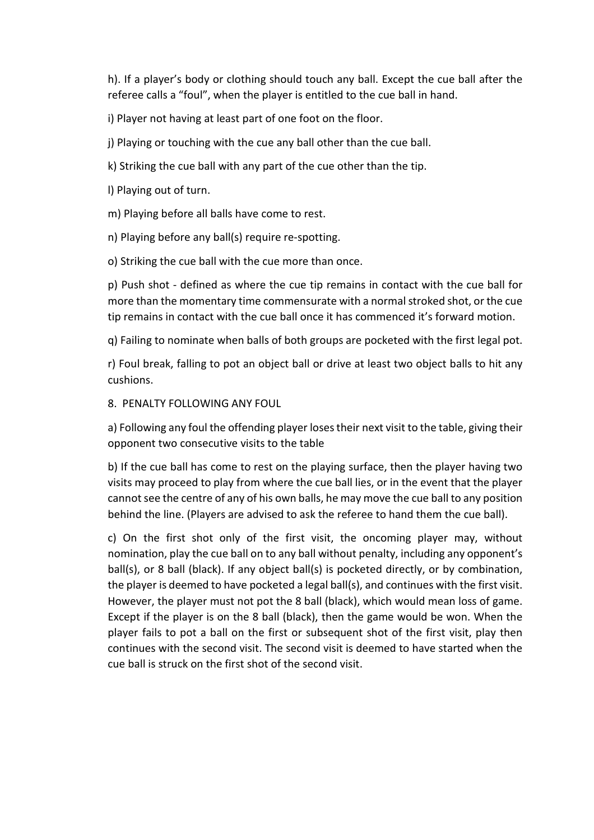h). If a player's body or clothing should touch any ball. Except the cue ball after the referee calls a "foul", when the player is entitled to the cue ball in hand.

i) Player not having at least part of one foot on the floor.

j) Playing or touching with the cue any ball other than the cue ball.

k) Striking the cue ball with any part of the cue other than the tip.

l) Playing out of turn.

m) Playing before all balls have come to rest.

n) Playing before any ball(s) require re-spotting.

o) Striking the cue ball with the cue more than once.

p) Push shot - defined as where the cue tip remains in contact with the cue ball for more than the momentary time commensurate with a normal stroked shot, or the cue tip remains in contact with the cue ball once it has commenced it's forward motion.

q) Failing to nominate when balls of both groups are pocketed with the first legal pot.

r) Foul break, falling to pot an object ball or drive at least two object balls to hit any cushions.

#### 8. PENALTY FOLLOWING ANY FOUL

a) Following any foul the offending player loses their next visit to the table, giving their opponent two consecutive visits to the table

b) If the cue ball has come to rest on the playing surface, then the player having two visits may proceed to play from where the cue ball lies, or in the event that the player cannot see the centre of any of his own balls, he may move the cue ball to any position behind the line. (Players are advised to ask the referee to hand them the cue ball).

c) On the first shot only of the first visit, the oncoming player may, without nomination, play the cue ball on to any ball without penalty, including any opponent's ball(s), or 8 ball (black). If any object ball(s) is pocketed directly, or by combination, the player is deemed to have pocketed a legal ball(s), and continues with the first visit. However, the player must not pot the 8 ball (black), which would mean loss of game. Except if the player is on the 8 ball (black), then the game would be won. When the player fails to pot a ball on the first or subsequent shot of the first visit, play then continues with the second visit. The second visit is deemed to have started when the cue ball is struck on the first shot of the second visit.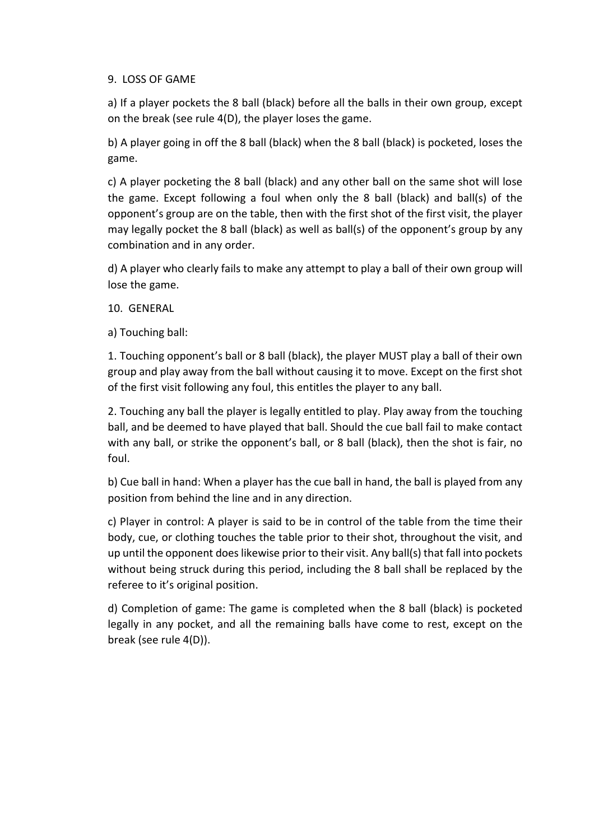#### 9. LOSS OF GAME

a) If a player pockets the 8 ball (black) before all the balls in their own group, except on the break (see rule 4(D), the player loses the game.

b) A player going in off the 8 ball (black) when the 8 ball (black) is pocketed, loses the game.

c) A player pocketing the 8 ball (black) and any other ball on the same shot will lose the game. Except following a foul when only the 8 ball (black) and ball(s) of the opponent's group are on the table, then with the first shot of the first visit, the player may legally pocket the 8 ball (black) as well as ball(s) of the opponent's group by any combination and in any order.

d) A player who clearly fails to make any attempt to play a ball of their own group will lose the game.

10. GENERAL

a) Touching ball:

1. Touching opponent's ball or 8 ball (black), the player MUST play a ball of their own group and play away from the ball without causing it to move. Except on the first shot of the first visit following any foul, this entitles the player to any ball.

2. Touching any ball the player is legally entitled to play. Play away from the touching ball, and be deemed to have played that ball. Should the cue ball fail to make contact with any ball, or strike the opponent's ball, or 8 ball (black), then the shot is fair, no foul.

b) Cue ball in hand: When a player has the cue ball in hand, the ball is played from any position from behind the line and in any direction.

c) Player in control: A player is said to be in control of the table from the time their body, cue, or clothing touches the table prior to their shot, throughout the visit, and up until the opponent does likewise prior to their visit. Any ball(s) that fall into pockets without being struck during this period, including the 8 ball shall be replaced by the referee to it's original position.

d) Completion of game: The game is completed when the 8 ball (black) is pocketed legally in any pocket, and all the remaining balls have come to rest, except on the break (see rule 4(D)).